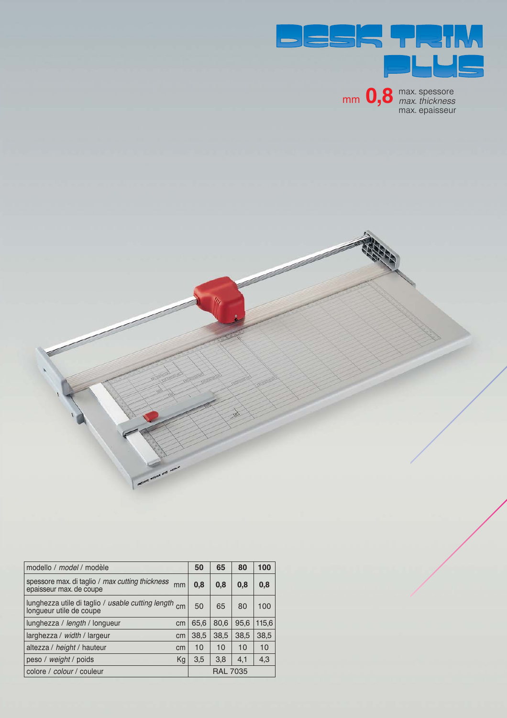

mm 0,8 max. spessore

max. epaisseur



| modello / model / modèle                                                         | 50   | 65              | 80   | 100   |
|----------------------------------------------------------------------------------|------|-----------------|------|-------|
| spessore max. di taglio / max cutting thickness<br>mm<br>epaisseur max. de coupe | 0.8  | 0,8             | 0,8  | 0,8   |
| lunghezza utile di taglio / usable cutting length cm<br>longueur utile de coupe  | 50   | 65              | 80   | 100   |
| lunghezza / length / longueur<br>cm                                              | 65.6 | 80.6            | 95.6 | 115,6 |
| larghezza / width / largeur<br>cm                                                | 38,5 | 38,5            | 38,5 | 38,5  |
| altezza / height / hauteur<br>cm                                                 | 10   | 10              | 10   | 10    |
| peso / weight / poids<br>Kg                                                      | 3,5  | 3,8             | 4,1  | 4,3   |
| colore / colour / couleur                                                        |      | <b>RAL 7035</b> |      |       |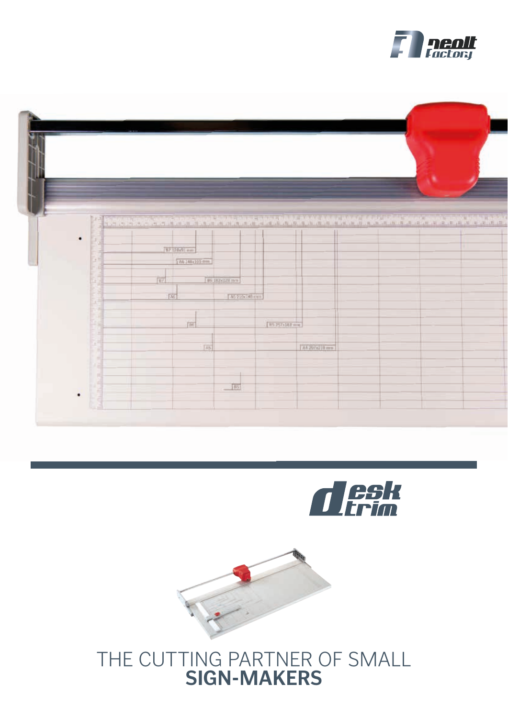







## THE CUTTING PARTNER OF SMALL **SIGN-MAKERS**